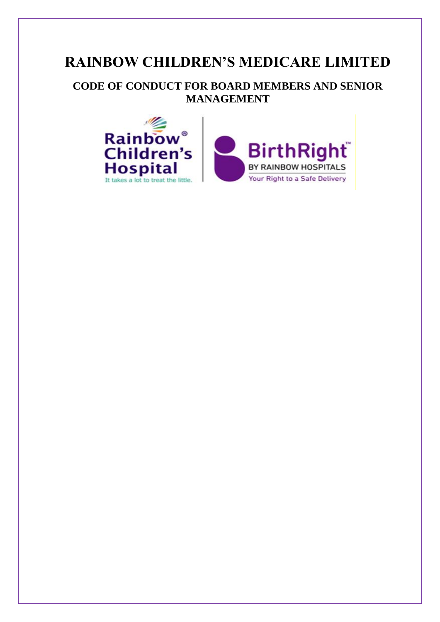# **RAINBOW CHILDREN'S MEDICARE LIMITED**

**CODE OF CONDUCT FOR BOARD MEMBERS AND SENIOR MANAGEMENT**

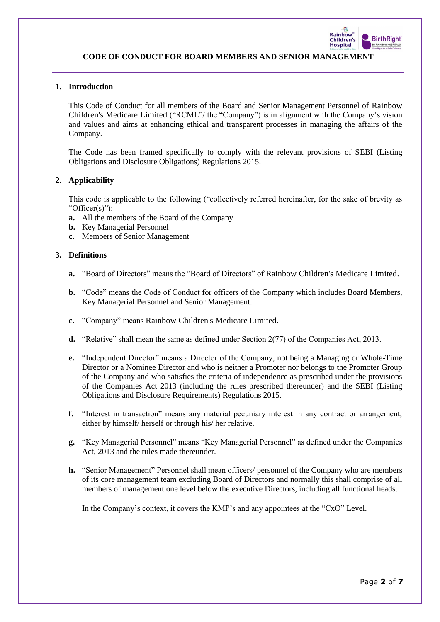

# **1. Introduction**

This Code of Conduct for all members of the Board and Senior Management Personnel of Rainbow Children's Medicare Limited ("RCML"/ the "Company") is in alignment with the Company's vision and values and aims at enhancing ethical and transparent processes in managing the affairs of the Company.

The Code has been framed specifically to comply with the relevant provisions of SEBI (Listing Obligations and Disclosure Obligations) Regulations 2015.

## **2. Applicability**

This code is applicable to the following ("collectively referred hereinafter, for the sake of brevity as "Officer(s)"):

- **a.** All the members of the Board of the Company
- **b.** Key Managerial Personnel
- **c.** Members of Senior Management

## **3. Definitions**

- **a.** "Board of Directors" means the "Board of Directors" of Rainbow Children's Medicare Limited.
- **b.** "Code" means the Code of Conduct for officers of the Company which includes Board Members, Key Managerial Personnel and Senior Management.
- **c.** "Company" means Rainbow Children's Medicare Limited.
- **d.** "Relative" shall mean the same as defined under Section 2(77) of the Companies Act, 2013.
- **e.** "Independent Director" means a Director of the Company, not being a Managing or Whole-Time Director or a Nominee Director and who is neither a Promoter nor belongs to the Promoter Group of the Company and who satisfies the criteria of independence as prescribed under the provisions of the Companies Act 2013 (including the rules prescribed thereunder) and the SEBI (Listing Obligations and Disclosure Requirements) Regulations 2015.
- **f.** "Interest in transaction" means any material pecuniary interest in any contract or arrangement, either by himself/ herself or through his/ her relative.
- **g.** "Key Managerial Personnel" means "Key Managerial Personnel" as defined under the Companies Act, 2013 and the rules made thereunder.
- **h.** "Senior Management" Personnel shall mean officers/ personnel of the Company who are members of its core management team excluding Board of Directors and normally this shall comprise of all members of management one level below the executive Directors, including all functional heads.

In the Company's context, it covers the KMP's and any appointees at the "CxO" Level.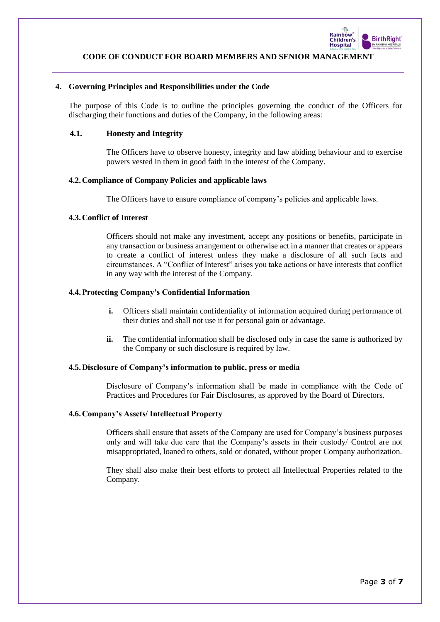

## **4. Governing Principles and Responsibilities under the Code**

The purpose of this Code is to outline the principles governing the conduct of the Officers for discharging their functions and duties of the Company, in the following areas:

## **4.1. Honesty and Integrity**

The Officers have to observe honesty, integrity and law abiding behaviour and to exercise powers vested in them in good faith in the interest of the Company.

## **4.2.Compliance of Company Policies and applicable laws**

The Officers have to ensure compliance of company's policies and applicable laws.

## **4.3.Conflict of Interest**

Officers should not make any investment, accept any positions or benefits, participate in any transaction or business arrangement or otherwise act in a manner that creates or appears to create a conflict of interest unless they make a disclosure of all such facts and circumstances. A "Conflict of Interest" arises you take actions or have interests that conflict in any way with the interest of the Company.

## **4.4.Protecting Company's Confidential Information**

- **i.** Officers shall maintain confidentiality of information acquired during performance of their duties and shall not use it for personal gain or advantage.
- **ii.** The confidential information shall be disclosed only in case the same is authorized by the Company or such disclosure is required by law.

## **4.5.Disclosure of Company's information to public, press or media**

Disclosure of Company's information shall be made in compliance with the Code of Practices and Procedures for Fair Disclosures, as approved by the Board of Directors.

# **4.6.Company's Assets/ Intellectual Property**

Officers shall ensure that assets of the Company are used for Company's business purposes only and will take due care that the Company's assets in their custody/ Control are not misappropriated, loaned to others, sold or donated, without proper Company authorization.

They shall also make their best efforts to protect all Intellectual Properties related to the Company.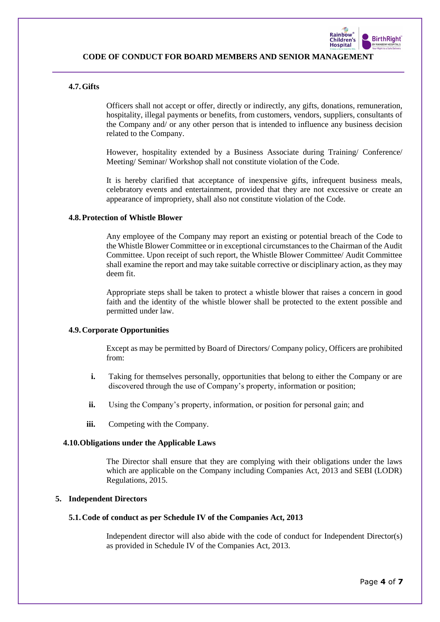

# **4.7.Gifts**

Officers shall not accept or offer, directly or indirectly, any gifts, donations, remuneration, hospitality, illegal payments or benefits, from customers, vendors, suppliers, consultants of the Company and/ or any other person that is intended to influence any business decision related to the Company.

However, hospitality extended by a Business Associate during Training/ Conference/ Meeting/ Seminar/ Workshop shall not constitute violation of the Code.

It is hereby clarified that acceptance of inexpensive gifts, infrequent business meals, celebratory events and entertainment, provided that they are not excessive or create an appearance of impropriety, shall also not constitute violation of the Code.

## **4.8.Protection of Whistle Blower**

Any employee of the Company may report an existing or potential breach of the Code to the Whistle Blower Committee or in exceptional circumstances to the Chairman of the Audit Committee. Upon receipt of such report, the Whistle Blower Committee/ Audit Committee shall examine the report and may take suitable corrective or disciplinary action, as they may deem fit.

Appropriate steps shall be taken to protect a whistle blower that raises a concern in good faith and the identity of the whistle blower shall be protected to the extent possible and permitted under law.

#### **4.9.Corporate Opportunities**

Except as may be permitted by Board of Directors/ Company policy, Officers are prohibited from:

- **i.** Taking for themselves personally, opportunities that belong to either the Company or are discovered through the use of Company's property, information or position;
- **ii.** Using the Company's property, information, or position for personal gain; and
- **iii.** Competing with the Company.

#### **4.10.Obligations under the Applicable Laws**

The Director shall ensure that they are complying with their obligations under the laws which are applicable on the Company including Companies Act, 2013 and SEBI (LODR) Regulations, 2015.

## **5. Independent Directors**

#### **5.1.Code of conduct as per Schedule IV of the Companies Act, 2013**

Independent director will also abide with the code of conduct for Independent Director(s) as provided in Schedule IV of the Companies Act, 2013.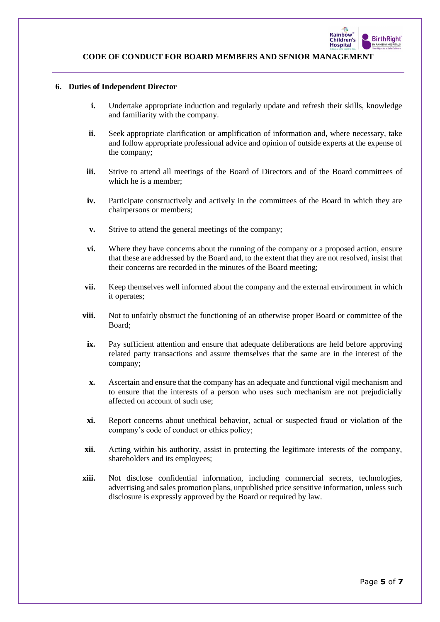

# **6. Duties of Independent Director**

- **i.** Undertake appropriate induction and regularly update and refresh their skills, knowledge and familiarity with the company.
- **ii.** Seek appropriate clarification or amplification of information and, where necessary, take and follow appropriate professional advice and opinion of outside experts at the expense of the company;
- **iii.** Strive to attend all meetings of the Board of Directors and of the Board committees of which he is a member;
- **iv.** Participate constructively and actively in the committees of the Board in which they are chairpersons or members;
- **v.** Strive to attend the general meetings of the company;
- **vi.** Where they have concerns about the running of the company or a proposed action, ensure that these are addressed by the Board and, to the extent that they are not resolved, insist that their concerns are recorded in the minutes of the Board meeting;
- **vii.** Keep themselves well informed about the company and the external environment in which it operates;
- **viii.** Not to unfairly obstruct the functioning of an otherwise proper Board or committee of the Board;
- **ix.** Pay sufficient attention and ensure that adequate deliberations are held before approving related party transactions and assure themselves that the same are in the interest of the company;
- **x.** Ascertain and ensure that the company has an adequate and functional vigil mechanism and to ensure that the interests of a person who uses such mechanism are not prejudicially affected on account of such use;
- **xi.** Report concerns about unethical behavior, actual or suspected fraud or violation of the company's code of conduct or ethics policy;
- **xii.** Acting within his authority, assist in protecting the legitimate interests of the company, shareholders and its employees;
- **xiii.** Not disclose confidential information, including commercial secrets, technologies, advertising and sales promotion plans, unpublished price sensitive information, unless such disclosure is expressly approved by the Board or required by law.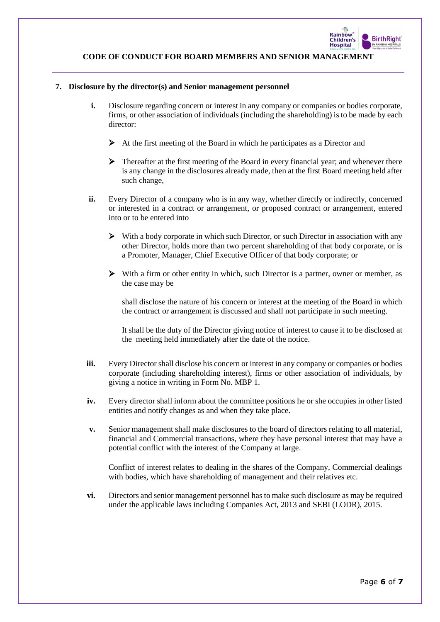

## **7. Disclosure by the director(s) and Senior management personnel**

- **i.** Disclosure regarding concern or interest in any company or companies or bodies corporate, firms, or other association of individuals (including the shareholding) is to be made by each director:
	- ➢ At the first meeting of the Board in which he participates as a Director and
	- ➢ Thereafter at the first meeting of the Board in every financial year; and whenever there is any change in the disclosures already made, then at the first Board meeting held after such change,
- **ii.** Every Director of a company who is in any way, whether directly or indirectly, concerned or interested in a contract or arrangement, or proposed contract or arrangement, entered into or to be entered into
	- ➢ With a body corporate in which such Director, or such Director in association with any other Director, holds more than two percent shareholding of that body corporate, or is a Promoter, Manager, Chief Executive Officer of that body corporate; or
	- $\triangleright$  With a firm or other entity in which, such Director is a partner, owner or member, as the case may be

shall disclose the nature of his concern or interest at the meeting of the Board in which the contract or arrangement is discussed and shall not participate in such meeting.

It shall be the duty of the Director giving notice of interest to cause it to be disclosed at the meeting held immediately after the date of the notice.

- **iii.** Every Director shall disclose his concern or interest in any company or companies or bodies corporate (including shareholding interest), firms or other association of individuals, by giving a notice in writing in Form No. MBP 1.
- **iv.** Every director shall inform about the committee positions he or she occupies in other listed entities and notify changes as and when they take place.
- **v.** Senior management shall make disclosures to the board of directors relating to all material, financial and Commercial transactions, where they have personal interest that may have a potential conflict with the interest of the Company at large.

Conflict of interest relates to dealing in the shares of the Company, Commercial dealings with bodies, which have shareholding of management and their relatives etc.

**vi.** Directors and senior management personnel has to make such disclosure as may be required under the applicable laws including Companies Act, 2013 and SEBI (LODR), 2015.